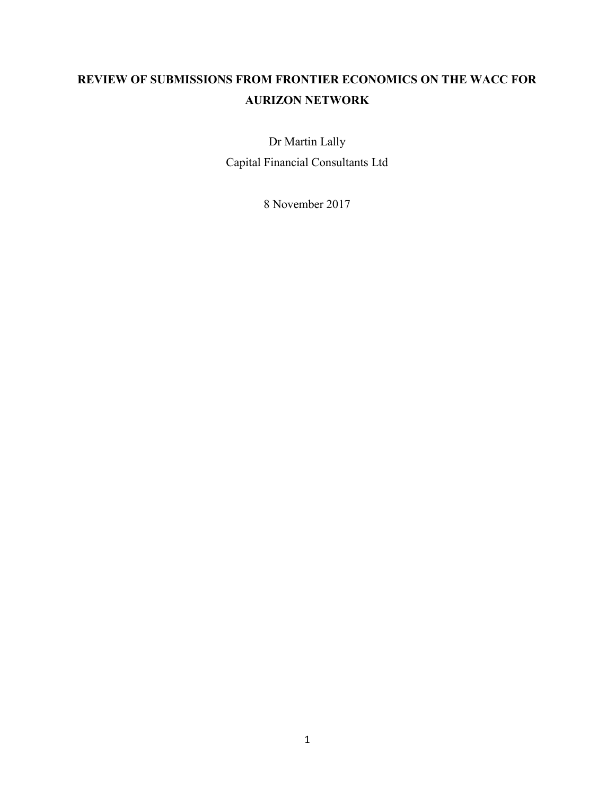# REVIEW OF SUBMISSIONS FROM FRONTIER ECONOMICS ON THE WACC FOR AURIZON NETWORK

Dr Martin Lally Capital Financial Consultants Ltd

8 November 2017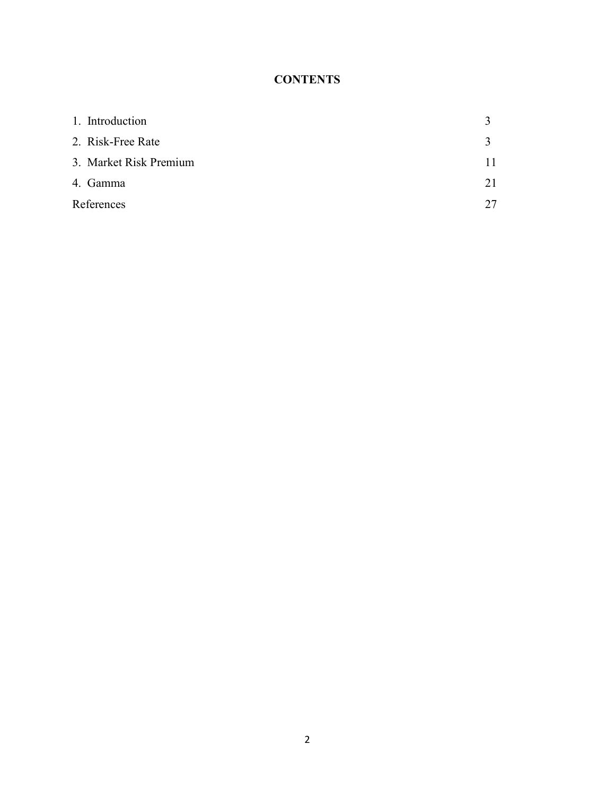## **CONTENTS**

| 1. Introduction        |              |
|------------------------|--------------|
| 2. Risk-Free Rate      | $\mathbf{R}$ |
| 3. Market Risk Premium |              |
| 4. Gamma               | 21           |
| References             | 27           |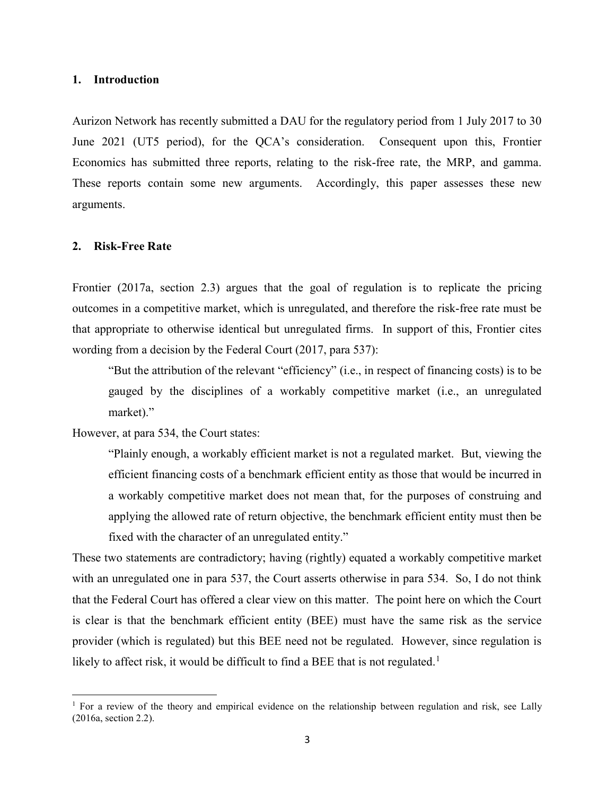#### 1. Introduction

Aurizon Network has recently submitted a DAU for the regulatory period from 1 July 2017 to 30 June 2021 (UT5 period), for the QCA's consideration. Consequent upon this, Frontier Economics has submitted three reports, relating to the risk-free rate, the MRP, and gamma. These reports contain some new arguments. Accordingly, this paper assesses these new arguments.

#### 2. Risk-Free Rate

 $\overline{a}$ 

Frontier (2017a, section 2.3) argues that the goal of regulation is to replicate the pricing outcomes in a competitive market, which is unregulated, and therefore the risk-free rate must be that appropriate to otherwise identical but unregulated firms. In support of this, Frontier cites wording from a decision by the Federal Court (2017, para 537):

"But the attribution of the relevant "efficiency" (i.e., in respect of financing costs) is to be gauged by the disciplines of a workably competitive market (i.e., an unregulated market)."

However, at para 534, the Court states:

"Plainly enough, a workably efficient market is not a regulated market. But, viewing the efficient financing costs of a benchmark efficient entity as those that would be incurred in a workably competitive market does not mean that, for the purposes of construing and applying the allowed rate of return objective, the benchmark efficient entity must then be fixed with the character of an unregulated entity."

These two statements are contradictory; having (rightly) equated a workably competitive market with an unregulated one in para 537, the Court asserts otherwise in para 534. So, I do not think that the Federal Court has offered a clear view on this matter. The point here on which the Court is clear is that the benchmark efficient entity (BEE) must have the same risk as the service provider (which is regulated) but this BEE need not be regulated. However, since regulation is likely to affect risk, it would be difficult to find a BEE that is not regulated.<sup>1</sup>

<sup>&</sup>lt;sup>1</sup> For a review of the theory and empirical evidence on the relationship between regulation and risk, see Lally (2016a, section 2.2).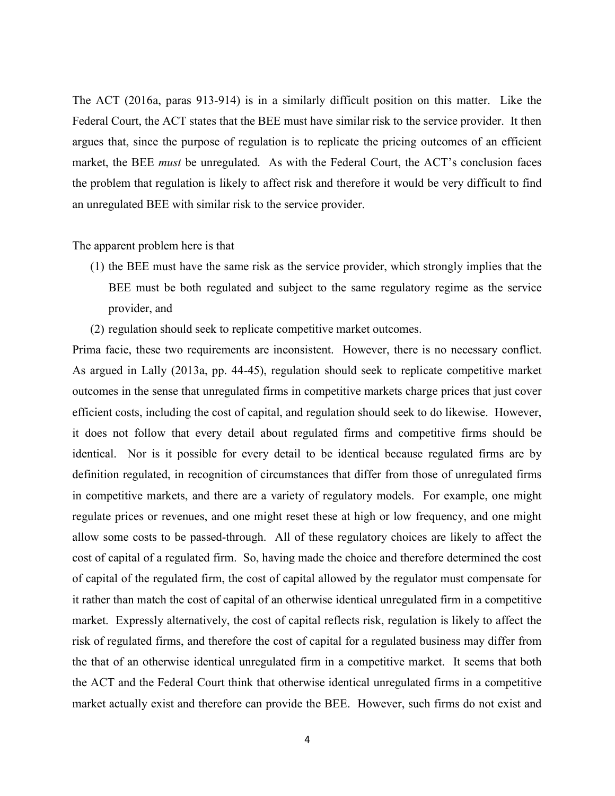The ACT (2016a, paras 913-914) is in a similarly difficult position on this matter. Like the Federal Court, the ACT states that the BEE must have similar risk to the service provider. It then argues that, since the purpose of regulation is to replicate the pricing outcomes of an efficient market, the BEE *must* be unregulated. As with the Federal Court, the ACT's conclusion faces the problem that regulation is likely to affect risk and therefore it would be very difficult to find an unregulated BEE with similar risk to the service provider.

The apparent problem here is that

- (1) the BEE must have the same risk as the service provider, which strongly implies that the BEE must be both regulated and subject to the same regulatory regime as the service provider, and
- (2) regulation should seek to replicate competitive market outcomes.

Prima facie, these two requirements are inconsistent. However, there is no necessary conflict. As argued in Lally (2013a, pp. 44-45), regulation should seek to replicate competitive market outcomes in the sense that unregulated firms in competitive markets charge prices that just cover efficient costs, including the cost of capital, and regulation should seek to do likewise. However, it does not follow that every detail about regulated firms and competitive firms should be identical. Nor is it possible for every detail to be identical because regulated firms are by definition regulated, in recognition of circumstances that differ from those of unregulated firms in competitive markets, and there are a variety of regulatory models. For example, one might regulate prices or revenues, and one might reset these at high or low frequency, and one might allow some costs to be passed-through. All of these regulatory choices are likely to affect the cost of capital of a regulated firm. So, having made the choice and therefore determined the cost of capital of the regulated firm, the cost of capital allowed by the regulator must compensate for it rather than match the cost of capital of an otherwise identical unregulated firm in a competitive market. Expressly alternatively, the cost of capital reflects risk, regulation is likely to affect the risk of regulated firms, and therefore the cost of capital for a regulated business may differ from the that of an otherwise identical unregulated firm in a competitive market. It seems that both the ACT and the Federal Court think that otherwise identical unregulated firms in a competitive market actually exist and therefore can provide the BEE. However, such firms do not exist and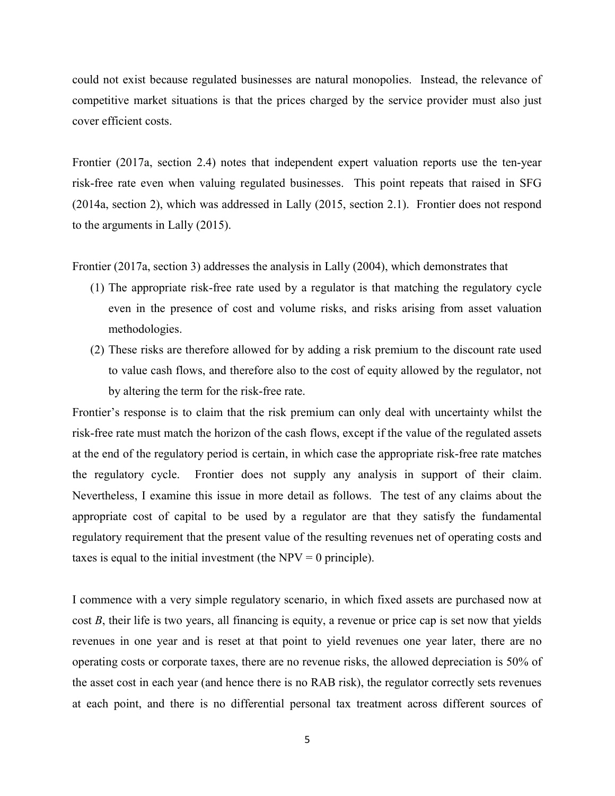could not exist because regulated businesses are natural monopolies. Instead, the relevance of competitive market situations is that the prices charged by the service provider must also just cover efficient costs.

Frontier (2017a, section 2.4) notes that independent expert valuation reports use the ten-year risk-free rate even when valuing regulated businesses. This point repeats that raised in SFG (2014a, section 2), which was addressed in Lally (2015, section 2.1). Frontier does not respond to the arguments in Lally (2015).

Frontier (2017a, section 3) addresses the analysis in Lally (2004), which demonstrates that

- (1) The appropriate risk-free rate used by a regulator is that matching the regulatory cycle even in the presence of cost and volume risks, and risks arising from asset valuation methodologies.
- (2) These risks are therefore allowed for by adding a risk premium to the discount rate used to value cash flows, and therefore also to the cost of equity allowed by the regulator, not by altering the term for the risk-free rate.

Frontier's response is to claim that the risk premium can only deal with uncertainty whilst the risk-free rate must match the horizon of the cash flows, except if the value of the regulated assets at the end of the regulatory period is certain, in which case the appropriate risk-free rate matches the regulatory cycle. Frontier does not supply any analysis in support of their claim. Nevertheless, I examine this issue in more detail as follows. The test of any claims about the appropriate cost of capital to be used by a regulator are that they satisfy the fundamental regulatory requirement that the present value of the resulting revenues net of operating costs and taxes is equal to the initial investment (the  $NPV = 0$  principle).

I commence with a very simple regulatory scenario, in which fixed assets are purchased now at cost B, their life is two years, all financing is equity, a revenue or price cap is set now that yields revenues in one year and is reset at that point to yield revenues one year later, there are no operating costs or corporate taxes, there are no revenue risks, the allowed depreciation is 50% of the asset cost in each year (and hence there is no RAB risk), the regulator correctly sets revenues at each point, and there is no differential personal tax treatment across different sources of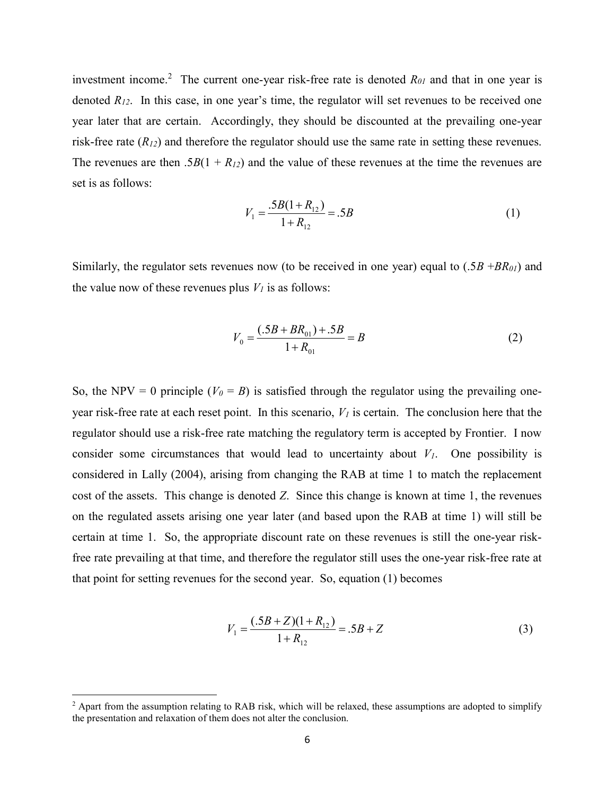investment income.<sup>2</sup> The current one-year risk-free rate is denoted  $R_{01}$  and that in one year is denoted  $R_{12}$ . In this case, in one year's time, the regulator will set revenues to be received one year later that are certain. Accordingly, they should be discounted at the prevailing one-year risk-free rate  $(R_{12})$  and therefore the regulator should use the same rate in setting these revenues. The revenues are then  $.5B(1 + R_{12})$  and the value of these revenues at the time the revenues are set is as follows:

$$
V_1 = \frac{.5B(1 + R_{12})}{1 + R_{12}} = .5B
$$
 (1)

Similarly, the regulator sets revenues now (to be received in one year) equal to  $(.5B + BR<sub>01</sub>)$  and the value now of these revenues plus  $V_I$  is as follows:

$$
V_0 = \frac{(.5B + BR_{01}) + .5B}{1 + R_{01}} = B
$$
 (2)

So, the NPV = 0 principle ( $V_0 = B$ ) is satisfied through the regulator using the prevailing oneyear risk-free rate at each reset point. In this scenario,  $V<sub>I</sub>$  is certain. The conclusion here that the regulator should use a risk-free rate matching the regulatory term is accepted by Frontier. I now consider some circumstances that would lead to uncertainty about  $V<sub>1</sub>$ . One possibility is considered in Lally (2004), arising from changing the RAB at time 1 to match the replacement cost of the assets. This change is denoted Z. Since this change is known at time 1, the revenues on the regulated assets arising one year later (and based upon the RAB at time 1) will still be certain at time 1. So, the appropriate discount rate on these revenues is still the one-year riskfree rate prevailing at that time, and therefore the regulator still uses the one-year risk-free rate at that point for setting revenues for the second year. So, equation (1) becomes

$$
V_1 = \frac{(.5B + Z)(1 + R_{12})}{1 + R_{12}} = .5B + Z
$$
\n(3)

<sup>&</sup>lt;sup>2</sup> Apart from the assumption relating to RAB risk, which will be relaxed, these assumptions are adopted to simplify the presentation and relaxation of them does not alter the conclusion.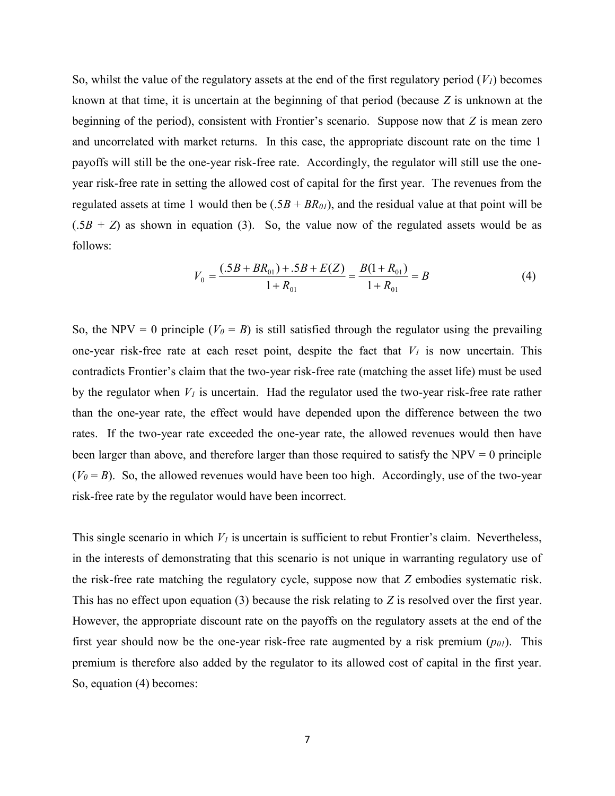So, whilst the value of the regulatory assets at the end of the first regulatory period  $(V_I)$  becomes known at that time, it is uncertain at the beginning of that period (because Z is unknown at the beginning of the period), consistent with Frontier's scenario. Suppose now that Z is mean zero and uncorrelated with market returns. In this case, the appropriate discount rate on the time 1 payoffs will still be the one-year risk-free rate. Accordingly, the regulator will still use the oneyear risk-free rate in setting the allowed cost of capital for the first year. The revenues from the regulated assets at time 1 would then be  $(.5B + BR_{01})$ , and the residual value at that point will be  $(.5B + Z)$  as shown in equation (3). So, the value now of the regulated assets would be as follows:

$$
V_0 = \frac{(.5B + BR_{01}) + .5B + E(Z)}{1 + R_{01}} = \frac{B(1 + R_{01})}{1 + R_{01}} = B
$$
\n(4)

So, the NPV = 0 principle ( $V_0 = B$ ) is still satisfied through the regulator using the prevailing one-year risk-free rate at each reset point, despite the fact that  $V<sub>1</sub>$  is now uncertain. This contradicts Frontier's claim that the two-year risk-free rate (matching the asset life) must be used by the regulator when  $V_1$  is uncertain. Had the regulator used the two-year risk-free rate rather than the one-year rate, the effect would have depended upon the difference between the two rates. If the two-year rate exceeded the one-year rate, the allowed revenues would then have been larger than above, and therefore larger than those required to satisfy the  $NPV = 0$  principle  $(V_0 = B)$ . So, the allowed revenues would have been too high. Accordingly, use of the two-year risk-free rate by the regulator would have been incorrect.

This single scenario in which  $V_I$  is uncertain is sufficient to rebut Frontier's claim. Nevertheless, in the interests of demonstrating that this scenario is not unique in warranting regulatory use of the risk-free rate matching the regulatory cycle, suppose now that Z embodies systematic risk. This has no effect upon equation  $(3)$  because the risk relating to Z is resolved over the first year. However, the appropriate discount rate on the payoffs on the regulatory assets at the end of the first year should now be the one-year risk-free rate augmented by a risk premium  $(p_{0l})$ . This premium is therefore also added by the regulator to its allowed cost of capital in the first year. So, equation (4) becomes: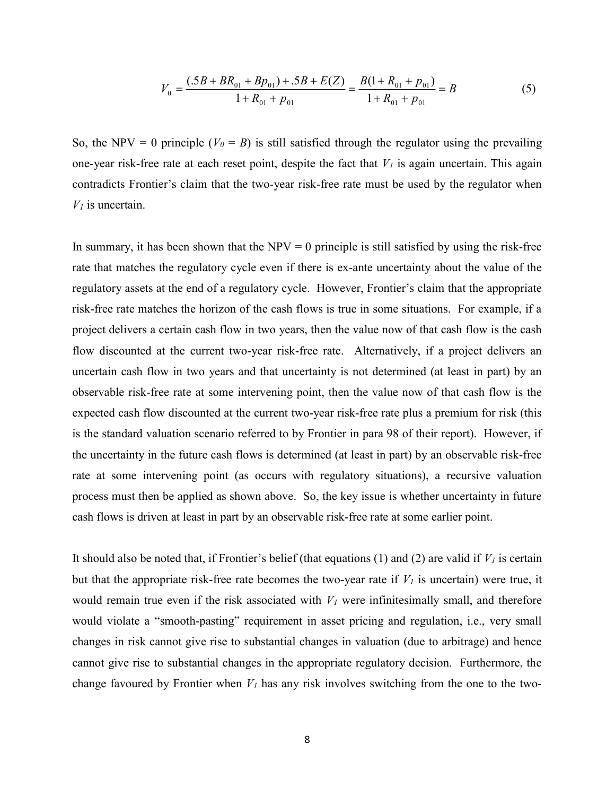$$
V_0 = \frac{(.5B + BR_{01} + Bp_{01}) + .5B + E(Z)}{1 + R_{01} + p_{01}} = \frac{B(1 + R_{01} + p_{01})}{1 + R_{01} + p_{01}} = B
$$
(5)

So, the NPV = 0 principle ( $V_0 = B$ ) is still satisfied through the regulator using the prevailing one-year risk-free rate at each reset point, despite the fact that  $V_I$  is again uncertain. This again contradicts Frontier's claim that the two-year risk-free rate must be used by the regulator when  $V<sub>1</sub>$  is uncertain.

In summary, it has been shown that the  $NPV = 0$  principle is still satisfied by using the risk-free rate that matches the regulatory cycle even if there is ex-ante uncertainty about the value of the regulatory assets at the end of a regulatory cycle. However, Frontier's claim that the appropriate risk-free rate matches the horizon of the cash flows is true in some situations. For example, if a project delivers a certain cash flow in two years, then the value now of that cash flow is the cash flow discounted at the current two-year risk-free rate. Alternatively, if a project delivers an uncertain cash flow in two years and that uncertainty is not determined (at least in part) by an observable risk-free rate at some intervening point, then the value now of that cash flow is the expected cash flow discounted at the current two-year risk-free rate plus a premium for risk (this is the standard valuation scenario referred to by Frontier in para 98 of their report). However, if the uncertainty in the future cash flows is determined (at least in part) by an observable risk-free rate at some intervening point (as occurs with regulatory situations), a recursive valuation process must then be applied as shown above. So, the key issue is whether uncertainty in future cash flows is driven at least in part by an observable risk-free rate at some earlier point.

It should also be noted that, if Frontier's belief (that equations (1) and (2) are valid if  $V<sub>1</sub>$  is certain but that the appropriate risk-free rate becomes the two-year rate if  $V_I$  is uncertain) were true, it would remain true even if the risk associated with  $V_I$  were infinitesimally small, and therefore would violate a "smooth-pasting" requirement in asset pricing and regulation, i.e., very small changes in risk cannot give rise to substantial changes in valuation (due to arbitrage) and hence cannot give rise to substantial changes in the appropriate regulatory decision. Furthermore, the change favoured by Frontier when  $V_1$  has any risk involves switching from the one to the two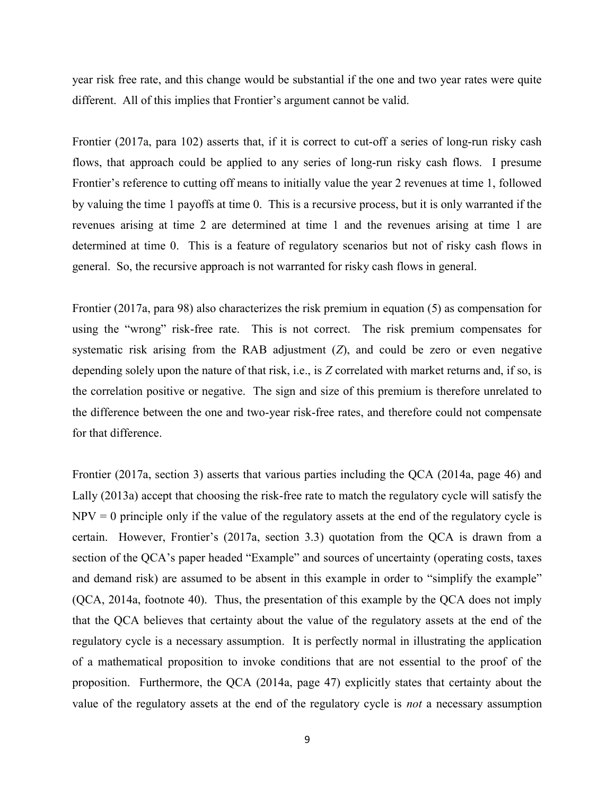year risk free rate, and this change would be substantial if the one and two year rates were quite different. All of this implies that Frontier's argument cannot be valid.

Frontier (2017a, para 102) asserts that, if it is correct to cut-off a series of long-run risky cash flows, that approach could be applied to any series of long-run risky cash flows. I presume Frontier's reference to cutting off means to initially value the year 2 revenues at time 1, followed by valuing the time 1 payoffs at time 0. This is a recursive process, but it is only warranted if the revenues arising at time 2 are determined at time 1 and the revenues arising at time 1 are determined at time 0. This is a feature of regulatory scenarios but not of risky cash flows in general. So, the recursive approach is not warranted for risky cash flows in general.

Frontier (2017a, para 98) also characterizes the risk premium in equation (5) as compensation for using the "wrong" risk-free rate. This is not correct. The risk premium compensates for systematic risk arising from the RAB adjustment  $(Z)$ , and could be zero or even negative depending solely upon the nature of that risk, i.e., is Z correlated with market returns and, if so, is the correlation positive or negative. The sign and size of this premium is therefore unrelated to the difference between the one and two-year risk-free rates, and therefore could not compensate for that difference.

Frontier (2017a, section 3) asserts that various parties including the QCA (2014a, page 46) and Lally (2013a) accept that choosing the risk-free rate to match the regulatory cycle will satisfy the  $NPV = 0$  principle only if the value of the regulatory assets at the end of the regulatory cycle is certain. However, Frontier's (2017a, section 3.3) quotation from the QCA is drawn from a section of the QCA's paper headed "Example" and sources of uncertainty (operating costs, taxes and demand risk) are assumed to be absent in this example in order to "simplify the example" (QCA, 2014a, footnote 40). Thus, the presentation of this example by the QCA does not imply that the QCA believes that certainty about the value of the regulatory assets at the end of the regulatory cycle is a necessary assumption. It is perfectly normal in illustrating the application of a mathematical proposition to invoke conditions that are not essential to the proof of the proposition. Furthermore, the QCA (2014a, page 47) explicitly states that certainty about the value of the regulatory assets at the end of the regulatory cycle is not a necessary assumption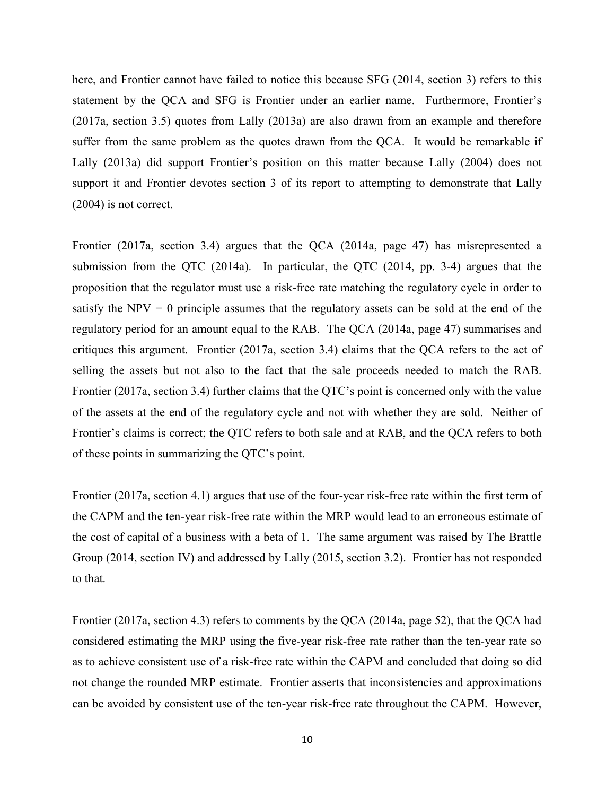here, and Frontier cannot have failed to notice this because SFG (2014, section 3) refers to this statement by the QCA and SFG is Frontier under an earlier name. Furthermore, Frontier's (2017a, section 3.5) quotes from Lally (2013a) are also drawn from an example and therefore suffer from the same problem as the quotes drawn from the QCA. It would be remarkable if Lally (2013a) did support Frontier's position on this matter because Lally (2004) does not support it and Frontier devotes section 3 of its report to attempting to demonstrate that Lally (2004) is not correct.

Frontier (2017a, section 3.4) argues that the QCA (2014a, page 47) has misrepresented a submission from the QTC (2014a). In particular, the QTC (2014, pp. 3-4) argues that the proposition that the regulator must use a risk-free rate matching the regulatory cycle in order to satisfy the  $NPV = 0$  principle assumes that the regulatory assets can be sold at the end of the regulatory period for an amount equal to the RAB. The QCA (2014a, page 47) summarises and critiques this argument. Frontier (2017a, section 3.4) claims that the QCA refers to the act of selling the assets but not also to the fact that the sale proceeds needed to match the RAB. Frontier (2017a, section 3.4) further claims that the QTC's point is concerned only with the value of the assets at the end of the regulatory cycle and not with whether they are sold. Neither of Frontier's claims is correct; the QTC refers to both sale and at RAB, and the QCA refers to both of these points in summarizing the QTC's point.

Frontier (2017a, section 4.1) argues that use of the four-year risk-free rate within the first term of the CAPM and the ten-year risk-free rate within the MRP would lead to an erroneous estimate of the cost of capital of a business with a beta of 1. The same argument was raised by The Brattle Group (2014, section IV) and addressed by Lally (2015, section 3.2). Frontier has not responded to that.

Frontier (2017a, section 4.3) refers to comments by the QCA (2014a, page 52), that the QCA had considered estimating the MRP using the five-year risk-free rate rather than the ten-year rate so as to achieve consistent use of a risk-free rate within the CAPM and concluded that doing so did not change the rounded MRP estimate. Frontier asserts that inconsistencies and approximations can be avoided by consistent use of the ten-year risk-free rate throughout the CAPM. However,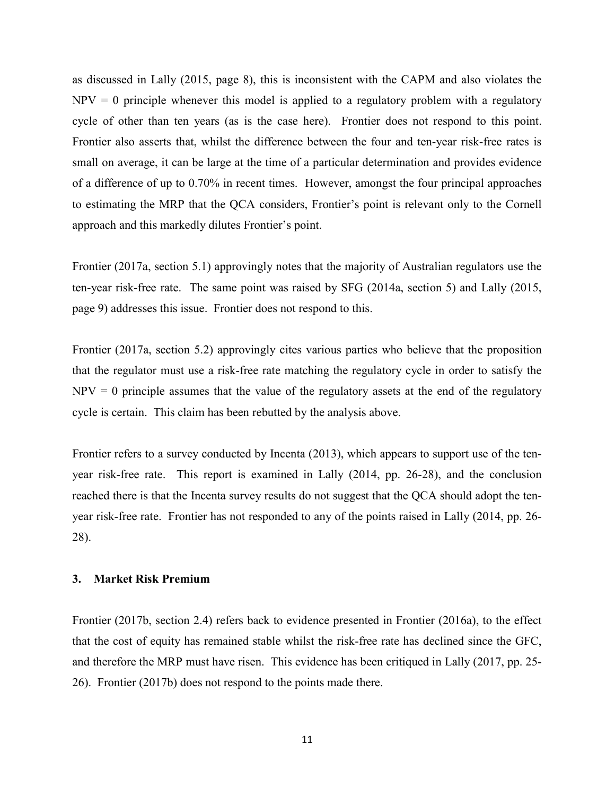as discussed in Lally (2015, page 8), this is inconsistent with the CAPM and also violates the  $NPV = 0$  principle whenever this model is applied to a regulatory problem with a regulatory cycle of other than ten years (as is the case here). Frontier does not respond to this point. Frontier also asserts that, whilst the difference between the four and ten-year risk-free rates is small on average, it can be large at the time of a particular determination and provides evidence of a difference of up to 0.70% in recent times. However, amongst the four principal approaches to estimating the MRP that the QCA considers, Frontier's point is relevant only to the Cornell approach and this markedly dilutes Frontier's point.

Frontier (2017a, section 5.1) approvingly notes that the majority of Australian regulators use the ten-year risk-free rate. The same point was raised by SFG (2014a, section 5) and Lally (2015, page 9) addresses this issue. Frontier does not respond to this.

Frontier (2017a, section 5.2) approvingly cites various parties who believe that the proposition that the regulator must use a risk-free rate matching the regulatory cycle in order to satisfy the  $NPV = 0$  principle assumes that the value of the regulatory assets at the end of the regulatory cycle is certain. This claim has been rebutted by the analysis above.

Frontier refers to a survey conducted by Incenta (2013), which appears to support use of the tenyear risk-free rate. This report is examined in Lally (2014, pp. 26-28), and the conclusion reached there is that the Incenta survey results do not suggest that the QCA should adopt the tenyear risk-free rate. Frontier has not responded to any of the points raised in Lally (2014, pp. 26- 28).

#### 3. Market Risk Premium

Frontier (2017b, section 2.4) refers back to evidence presented in Frontier (2016a), to the effect that the cost of equity has remained stable whilst the risk-free rate has declined since the GFC, and therefore the MRP must have risen. This evidence has been critiqued in Lally (2017, pp. 25- 26). Frontier (2017b) does not respond to the points made there.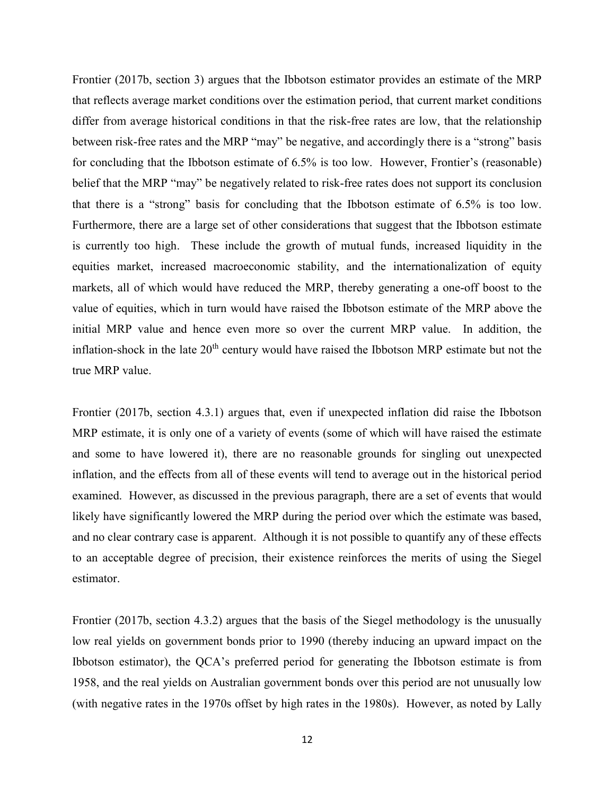Frontier (2017b, section 3) argues that the Ibbotson estimator provides an estimate of the MRP that reflects average market conditions over the estimation period, that current market conditions differ from average historical conditions in that the risk-free rates are low, that the relationship between risk-free rates and the MRP "may" be negative, and accordingly there is a "strong" basis for concluding that the Ibbotson estimate of 6.5% is too low. However, Frontier's (reasonable) belief that the MRP "may" be negatively related to risk-free rates does not support its conclusion that there is a "strong" basis for concluding that the Ibbotson estimate of 6.5% is too low. Furthermore, there are a large set of other considerations that suggest that the Ibbotson estimate is currently too high. These include the growth of mutual funds, increased liquidity in the equities market, increased macroeconomic stability, and the internationalization of equity markets, all of which would have reduced the MRP, thereby generating a one-off boost to the value of equities, which in turn would have raised the Ibbotson estimate of the MRP above the initial MRP value and hence even more so over the current MRP value. In addition, the inflation-shock in the late  $20<sup>th</sup>$  century would have raised the Ibbotson MRP estimate but not the true MRP value.

Frontier (2017b, section 4.3.1) argues that, even if unexpected inflation did raise the Ibbotson MRP estimate, it is only one of a variety of events (some of which will have raised the estimate and some to have lowered it), there are no reasonable grounds for singling out unexpected inflation, and the effects from all of these events will tend to average out in the historical period examined. However, as discussed in the previous paragraph, there are a set of events that would likely have significantly lowered the MRP during the period over which the estimate was based, and no clear contrary case is apparent. Although it is not possible to quantify any of these effects to an acceptable degree of precision, their existence reinforces the merits of using the Siegel estimator.

Frontier (2017b, section 4.3.2) argues that the basis of the Siegel methodology is the unusually low real yields on government bonds prior to 1990 (thereby inducing an upward impact on the Ibbotson estimator), the QCA's preferred period for generating the Ibbotson estimate is from 1958, and the real yields on Australian government bonds over this period are not unusually low (with negative rates in the 1970s offset by high rates in the 1980s). However, as noted by Lally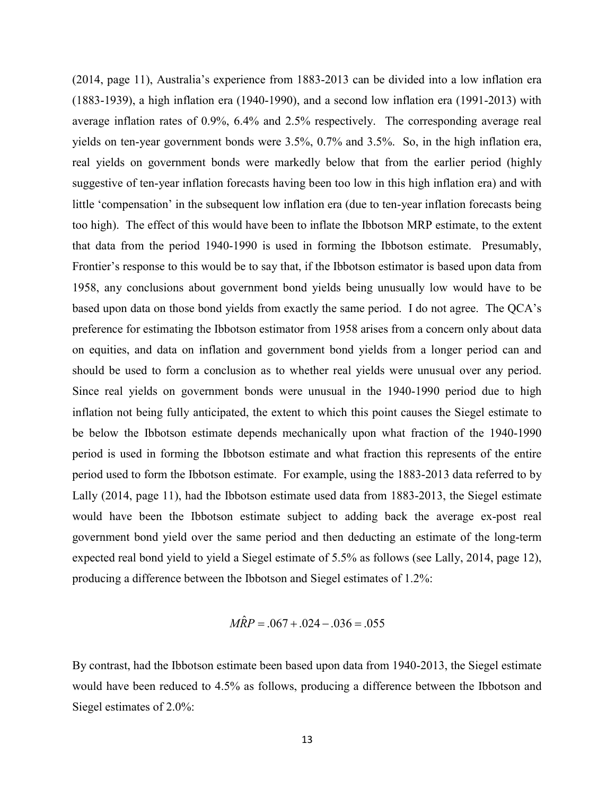(2014, page 11), Australia's experience from 1883-2013 can be divided into a low inflation era (1883-1939), a high inflation era (1940-1990), and a second low inflation era (1991-2013) with average inflation rates of 0.9%, 6.4% and 2.5% respectively. The corresponding average real yields on ten-year government bonds were 3.5%, 0.7% and 3.5%. So, in the high inflation era, real yields on government bonds were markedly below that from the earlier period (highly suggestive of ten-year inflation forecasts having been too low in this high inflation era) and with little 'compensation' in the subsequent low inflation era (due to ten-year inflation forecasts being too high). The effect of this would have been to inflate the Ibbotson MRP estimate, to the extent that data from the period 1940-1990 is used in forming the Ibbotson estimate. Presumably, Frontier's response to this would be to say that, if the Ibbotson estimator is based upon data from 1958, any conclusions about government bond yields being unusually low would have to be based upon data on those bond yields from exactly the same period. I do not agree. The QCA's preference for estimating the Ibbotson estimator from 1958 arises from a concern only about data on equities, and data on inflation and government bond yields from a longer period can and should be used to form a conclusion as to whether real yields were unusual over any period. Since real yields on government bonds were unusual in the 1940-1990 period due to high inflation not being fully anticipated, the extent to which this point causes the Siegel estimate to be below the Ibbotson estimate depends mechanically upon what fraction of the 1940-1990 period is used in forming the Ibbotson estimate and what fraction this represents of the entire period used to form the Ibbotson estimate. For example, using the 1883-2013 data referred to by Lally (2014, page 11), had the Ibbotson estimate used data from 1883-2013, the Siegel estimate would have been the Ibbotson estimate subject to adding back the average ex-post real government bond yield over the same period and then deducting an estimate of the long-term expected real bond yield to yield a Siegel estimate of 5.5% as follows (see Lally, 2014, page 12), producing a difference between the Ibbotson and Siegel estimates of 1.2%:

$$
M\hat{R}P = .067 + .024 - .036 = .055
$$

By contrast, had the Ibbotson estimate been based upon data from 1940-2013, the Siegel estimate would have been reduced to 4.5% as follows, producing a difference between the Ibbotson and Siegel estimates of 2.0%: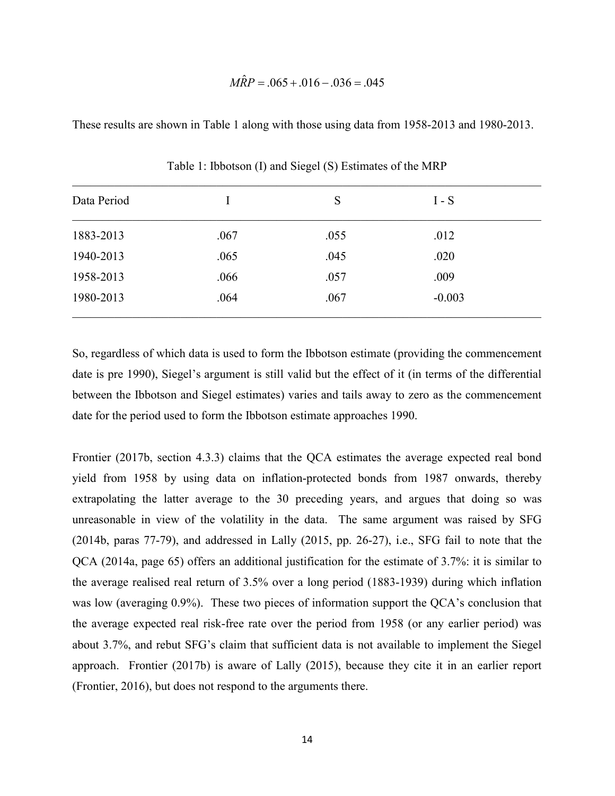## $M\hat{R}P = .065 + .016 - .036 = .045$

These results are shown in Table 1 along with those using data from 1958-2013 and 1980-2013.

| Data Period |      | S    | $I-S$    |  |
|-------------|------|------|----------|--|
| 1883-2013   | .067 | .055 | .012     |  |
| 1940-2013   | .065 | .045 | .020     |  |
| 1958-2013   | .066 | .057 | .009     |  |
| 1980-2013   | .064 | .067 | $-0.003$ |  |

Table 1: Ibbotson (I) and Siegel (S) Estimates of the MRP

So, regardless of which data is used to form the Ibbotson estimate (providing the commencement date is pre 1990), Siegel's argument is still valid but the effect of it (in terms of the differential between the Ibbotson and Siegel estimates) varies and tails away to zero as the commencement date for the period used to form the Ibbotson estimate approaches 1990.

Frontier (2017b, section 4.3.3) claims that the QCA estimates the average expected real bond yield from 1958 by using data on inflation-protected bonds from 1987 onwards, thereby extrapolating the latter average to the 30 preceding years, and argues that doing so was unreasonable in view of the volatility in the data. The same argument was raised by SFG (2014b, paras 77-79), and addressed in Lally (2015, pp. 26-27), i.e., SFG fail to note that the QCA (2014a, page 65) offers an additional justification for the estimate of 3.7%: it is similar to the average realised real return of 3.5% over a long period (1883-1939) during which inflation was low (averaging 0.9%). These two pieces of information support the QCA's conclusion that the average expected real risk-free rate over the period from 1958 (or any earlier period) was about 3.7%, and rebut SFG's claim that sufficient data is not available to implement the Siegel approach. Frontier (2017b) is aware of Lally (2015), because they cite it in an earlier report (Frontier, 2016), but does not respond to the arguments there.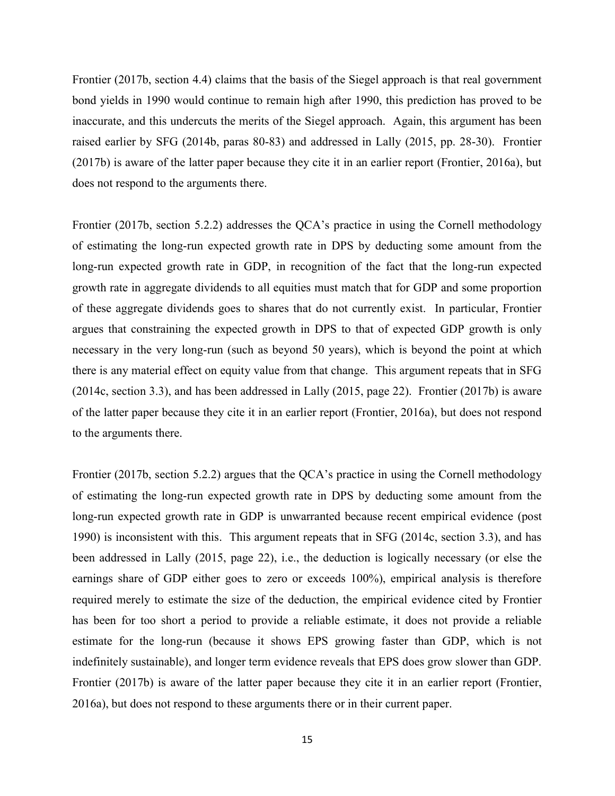Frontier (2017b, section 4.4) claims that the basis of the Siegel approach is that real government bond yields in 1990 would continue to remain high after 1990, this prediction has proved to be inaccurate, and this undercuts the merits of the Siegel approach. Again, this argument has been raised earlier by SFG (2014b, paras 80-83) and addressed in Lally (2015, pp. 28-30). Frontier (2017b) is aware of the latter paper because they cite it in an earlier report (Frontier, 2016a), but does not respond to the arguments there.

Frontier (2017b, section 5.2.2) addresses the QCA's practice in using the Cornell methodology of estimating the long-run expected growth rate in DPS by deducting some amount from the long-run expected growth rate in GDP, in recognition of the fact that the long-run expected growth rate in aggregate dividends to all equities must match that for GDP and some proportion of these aggregate dividends goes to shares that do not currently exist. In particular, Frontier argues that constraining the expected growth in DPS to that of expected GDP growth is only necessary in the very long-run (such as beyond 50 years), which is beyond the point at which there is any material effect on equity value from that change. This argument repeats that in SFG (2014c, section 3.3), and has been addressed in Lally (2015, page 22). Frontier (2017b) is aware of the latter paper because they cite it in an earlier report (Frontier, 2016a), but does not respond to the arguments there.

Frontier (2017b, section 5.2.2) argues that the QCA's practice in using the Cornell methodology of estimating the long-run expected growth rate in DPS by deducting some amount from the long-run expected growth rate in GDP is unwarranted because recent empirical evidence (post 1990) is inconsistent with this. This argument repeats that in SFG (2014c, section 3.3), and has been addressed in Lally (2015, page 22), i.e., the deduction is logically necessary (or else the earnings share of GDP either goes to zero or exceeds 100%), empirical analysis is therefore required merely to estimate the size of the deduction, the empirical evidence cited by Frontier has been for too short a period to provide a reliable estimate, it does not provide a reliable estimate for the long-run (because it shows EPS growing faster than GDP, which is not indefinitely sustainable), and longer term evidence reveals that EPS does grow slower than GDP. Frontier (2017b) is aware of the latter paper because they cite it in an earlier report (Frontier, 2016a), but does not respond to these arguments there or in their current paper.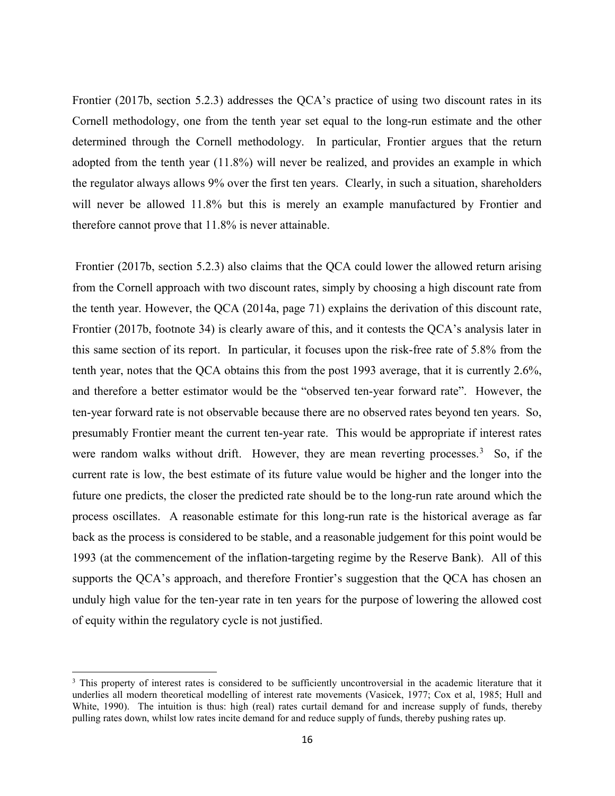Frontier (2017b, section 5.2.3) addresses the QCA's practice of using two discount rates in its Cornell methodology, one from the tenth year set equal to the long-run estimate and the other determined through the Cornell methodology. In particular, Frontier argues that the return adopted from the tenth year (11.8%) will never be realized, and provides an example in which the regulator always allows 9% over the first ten years. Clearly, in such a situation, shareholders will never be allowed 11.8% but this is merely an example manufactured by Frontier and therefore cannot prove that 11.8% is never attainable.

 Frontier (2017b, section 5.2.3) also claims that the QCA could lower the allowed return arising from the Cornell approach with two discount rates, simply by choosing a high discount rate from the tenth year. However, the QCA (2014a, page 71) explains the derivation of this discount rate, Frontier (2017b, footnote 34) is clearly aware of this, and it contests the QCA's analysis later in this same section of its report. In particular, it focuses upon the risk-free rate of 5.8% from the tenth year, notes that the QCA obtains this from the post 1993 average, that it is currently 2.6%, and therefore a better estimator would be the "observed ten-year forward rate". However, the ten-year forward rate is not observable because there are no observed rates beyond ten years. So, presumably Frontier meant the current ten-year rate. This would be appropriate if interest rates were random walks without drift. However, they are mean reverting processes.<sup>3</sup> So, if the current rate is low, the best estimate of its future value would be higher and the longer into the future one predicts, the closer the predicted rate should be to the long-run rate around which the process oscillates. A reasonable estimate for this long-run rate is the historical average as far back as the process is considered to be stable, and a reasonable judgement for this point would be 1993 (at the commencement of the inflation-targeting regime by the Reserve Bank). All of this supports the QCA's approach, and therefore Frontier's suggestion that the QCA has chosen an unduly high value for the ten-year rate in ten years for the purpose of lowering the allowed cost of equity within the regulatory cycle is not justified.

<sup>&</sup>lt;sup>3</sup> This property of interest rates is considered to be sufficiently uncontroversial in the academic literature that it underlies all modern theoretical modelling of interest rate movements (Vasicek, 1977; Cox et al, 1985; Hull and White, 1990). The intuition is thus: high (real) rates curtail demand for and increase supply of funds, thereby pulling rates down, whilst low rates incite demand for and reduce supply of funds, thereby pushing rates up.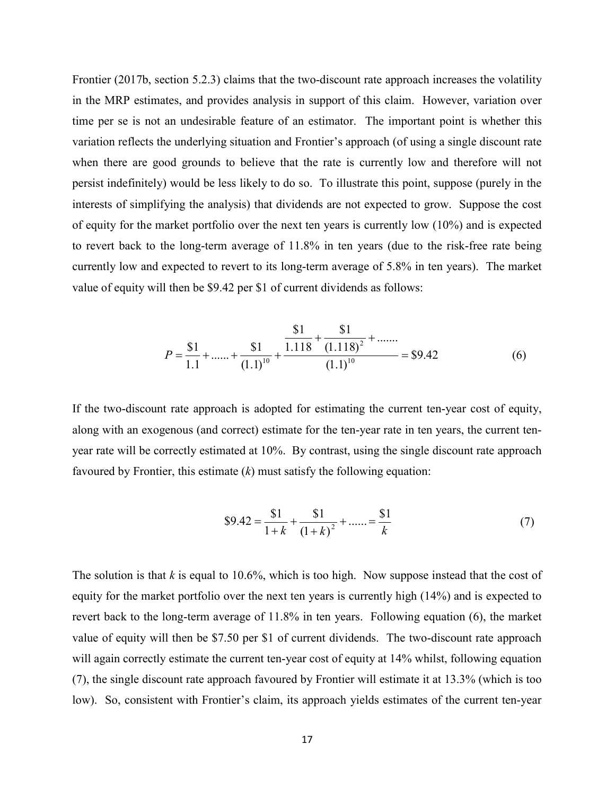Frontier (2017b, section 5.2.3) claims that the two-discount rate approach increases the volatility in the MRP estimates, and provides analysis in support of this claim. However, variation over time per se is not an undesirable feature of an estimator. The important point is whether this variation reflects the underlying situation and Frontier's approach (of using a single discount rate when there are good grounds to believe that the rate is currently low and therefore will not persist indefinitely) would be less likely to do so. To illustrate this point, suppose (purely in the interests of simplifying the analysis) that dividends are not expected to grow. Suppose the cost of equity for the market portfolio over the next ten years is currently low (10%) and is expected to revert back to the long-term average of 11.8% in ten years (due to the risk-free rate being currently low and expected to revert to its long-term average of 5.8% in ten years). The market value of equity will then be \$9.42 per \$1 of current dividends as follows:

$$
P = \frac{\$1}{1.1} + \dots + \frac{\$1}{(1.1)^{10}} + \frac{\frac{\$1}{1.118} + \frac{\$1}{(1.118)^2} + \dots}{(1.1)^{10}} = \$9.42
$$
 (6)

If the two-discount rate approach is adopted for estimating the current ten-year cost of equity, along with an exogenous (and correct) estimate for the ten-year rate in ten years, the current tenyear rate will be correctly estimated at 10%. By contrast, using the single discount rate approach favoured by Frontier, this estimate  $(k)$  must satisfy the following equation:

$$
\$9.42 = \frac{\$1}{1+k} + \frac{\$1}{(1+k)^2} + \dots = \frac{\$1}{k} \tag{7}
$$

The solution is that  $k$  is equal to 10.6%, which is too high. Now suppose instead that the cost of equity for the market portfolio over the next ten years is currently high (14%) and is expected to revert back to the long-term average of 11.8% in ten years. Following equation (6), the market value of equity will then be \$7.50 per \$1 of current dividends. The two-discount rate approach will again correctly estimate the current ten-year cost of equity at 14% whilst, following equation (7), the single discount rate approach favoured by Frontier will estimate it at 13.3% (which is too low). So, consistent with Frontier's claim, its approach yields estimates of the current ten-year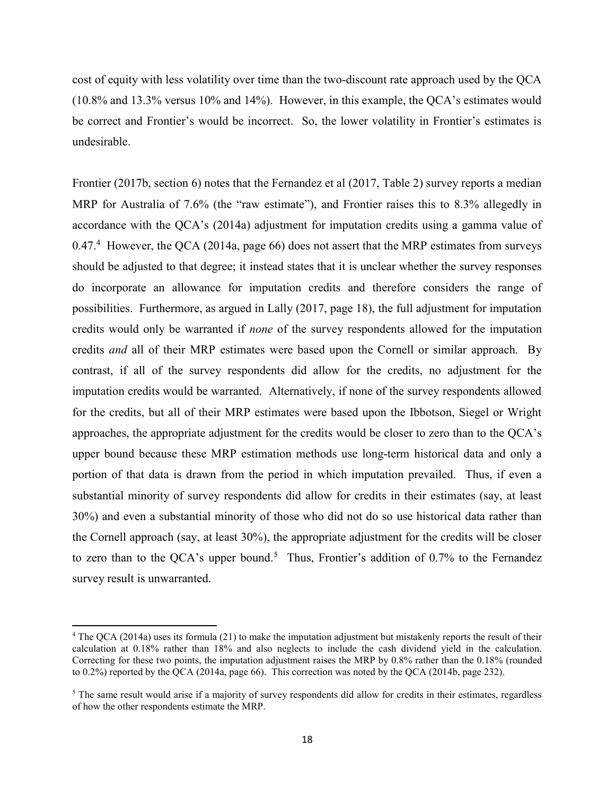cost of equity with less volatility over time than the two-discount rate approach used by the QCA (10.8% and 13.3% versus 10% and 14%). However, in this example, the QCA's estimates would be correct and Frontier's would be incorrect. So, the lower volatility in Frontier's estimates is undesirable.

Frontier (2017b, section 6) notes that the Fernandez et al (2017, Table 2) survey reports a median MRP for Australia of 7.6% (the "raw estimate"), and Frontier raises this to 8.3% allegedly in accordance with the QCA's (2014a) adjustment for imputation credits using a gamma value of  $0.47<sup>4</sup>$  However, the QCA (2014a, page 66) does not assert that the MRP estimates from surveys should be adjusted to that degree; it instead states that it is unclear whether the survey responses do incorporate an allowance for imputation credits and therefore considers the range of possibilities. Furthermore, as argued in Lally (2017, page 18), the full adjustment for imputation credits would only be warranted if none of the survey respondents allowed for the imputation credits and all of their MRP estimates were based upon the Cornell or similar approach. By contrast, if all of the survey respondents did allow for the credits, no adjustment for the imputation credits would be warranted. Alternatively, if none of the survey respondents allowed for the credits, but all of their MRP estimates were based upon the Ibbotson, Siegel or Wright approaches, the appropriate adjustment for the credits would be closer to zero than to the QCA's upper bound because these MRP estimation methods use long-term historical data and only a portion of that data is drawn from the period in which imputation prevailed. Thus, if even a substantial minority of survey respondents did allow for credits in their estimates (say, at least 30%) and even a substantial minority of those who did not do so use historical data rather than the Cornell approach (say, at least 30%), the appropriate adjustment for the credits will be closer to zero than to the QCA's upper bound.<sup>5</sup> Thus, Frontier's addition of 0.7% to the Fernandez survey result is unwarranted.

 $\overline{a}$ 

 $4$  The QCA (2014a) uses its formula (21) to make the imputation adjustment but mistakenly reports the result of their calculation at 0.18% rather than 18% and also neglects to include the cash dividend yield in the calculation. Correcting for these two points, the imputation adjustment raises the MRP by 0.8% rather than the 0.18% (rounded to 0.2%) reported by the QCA (2014a, page 66). This correction was noted by the QCA (2014b, page 232).

<sup>&</sup>lt;sup>5</sup> The same result would arise if a majority of survey respondents did allow for credits in their estimates, regardless of how the other respondents estimate the MRP.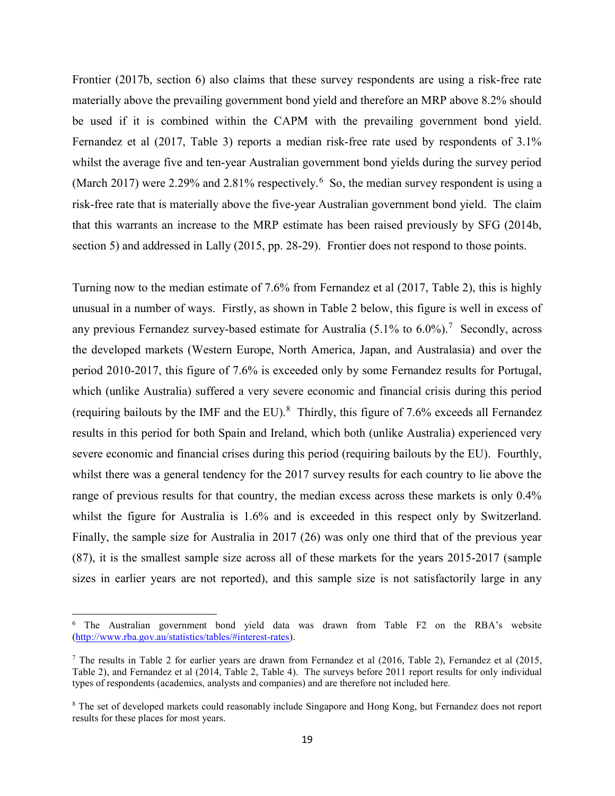Frontier (2017b, section 6) also claims that these survey respondents are using a risk-free rate materially above the prevailing government bond yield and therefore an MRP above 8.2% should be used if it is combined within the CAPM with the prevailing government bond yield. Fernandez et al (2017, Table 3) reports a median risk-free rate used by respondents of 3.1% whilst the average five and ten-year Australian government bond yields during the survey period (March 2017) were 2.29% and 2.81% respectively.<sup>6</sup> So, the median survey respondent is using a risk-free rate that is materially above the five-year Australian government bond yield. The claim that this warrants an increase to the MRP estimate has been raised previously by SFG (2014b, section 5) and addressed in Lally (2015, pp. 28-29). Frontier does not respond to those points.

Turning now to the median estimate of 7.6% from Fernandez et al (2017, Table 2), this is highly unusual in a number of ways. Firstly, as shown in Table 2 below, this figure is well in excess of any previous Fernandez survey-based estimate for Australia  $(5.1\%$  to  $6.0\%)$ .<sup>7</sup> Secondly, across the developed markets (Western Europe, North America, Japan, and Australasia) and over the period 2010-2017, this figure of 7.6% is exceeded only by some Fernandez results for Portugal, which (unlike Australia) suffered a very severe economic and financial crisis during this period (requiring bailouts by the IMF and the EU). $^{8}$  Thirdly, this figure of 7.6% exceeds all Fernandez results in this period for both Spain and Ireland, which both (unlike Australia) experienced very severe economic and financial crises during this period (requiring bailouts by the EU). Fourthly, whilst there was a general tendency for the 2017 survey results for each country to lie above the range of previous results for that country, the median excess across these markets is only 0.4% whilst the figure for Australia is 1.6% and is exceeded in this respect only by Switzerland. Finally, the sample size for Australia in 2017 (26) was only one third that of the previous year (87), it is the smallest sample size across all of these markets for the years 2015-2017 (sample sizes in earlier years are not reported), and this sample size is not satisfactorily large in any

<sup>&</sup>lt;sup>6</sup> The Australian government bond yield data was drawn from Table F2 on the RBA's website (http://www.rba.gov.au/statistics/tables/#interest-rates).

<sup>&</sup>lt;sup>7</sup> The results in Table 2 for earlier years are drawn from Fernandez et al (2016, Table 2), Fernandez et al (2015, Table 2), and Fernandez et al (2014, Table 2, Table 4). The surveys before 2011 report results for only individual types of respondents (academics, analysts and companies) and are therefore not included here.

<sup>&</sup>lt;sup>8</sup> The set of developed markets could reasonably include Singapore and Hong Kong, but Fernandez does not report results for these places for most years.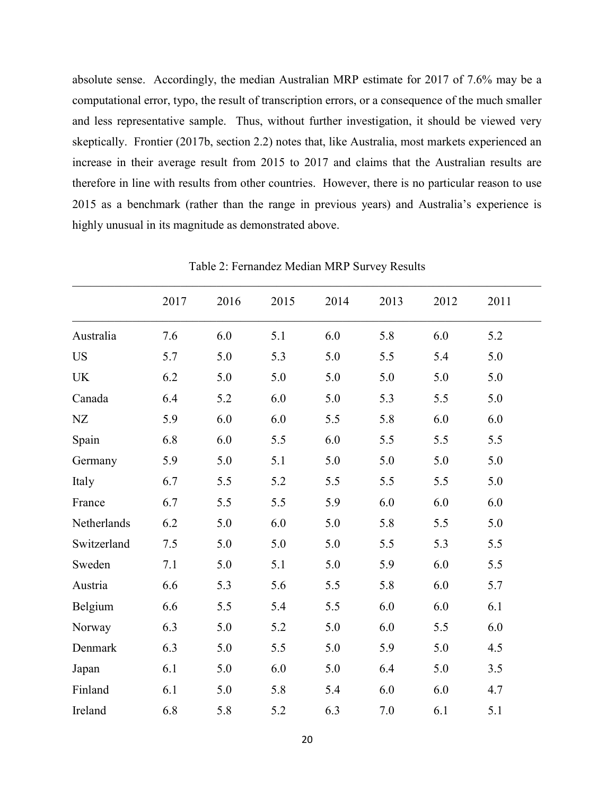absolute sense. Accordingly, the median Australian MRP estimate for 2017 of 7.6% may be a computational error, typo, the result of transcription errors, or a consequence of the much smaller and less representative sample. Thus, without further investigation, it should be viewed very skeptically. Frontier (2017b, section 2.2) notes that, like Australia, most markets experienced an increase in their average result from 2015 to 2017 and claims that the Australian results are therefore in line with results from other countries. However, there is no particular reason to use 2015 as a benchmark (rather than the range in previous years) and Australia's experience is highly unusual in its magnitude as demonstrated above.

|             | 2017 | 2016 | 2015 | 2014 | 2013 | 2012 | 2011 |  |
|-------------|------|------|------|------|------|------|------|--|
| Australia   | 7.6  | 6.0  | 5.1  | 6.0  | 5.8  | 6.0  | 5.2  |  |
| <b>US</b>   | 5.7  | 5.0  | 5.3  | 5.0  | 5.5  | 5.4  | 5.0  |  |
| <b>UK</b>   | 6.2  | 5.0  | 5.0  | 5.0  | 5.0  | 5.0  | 5.0  |  |
| Canada      | 6.4  | 5.2  | 6.0  | 5.0  | 5.3  | 5.5  | 5.0  |  |
| NZ          | 5.9  | 6.0  | 6.0  | 5.5  | 5.8  | 6.0  | 6.0  |  |
| Spain       | 6.8  | 6.0  | 5.5  | 6.0  | 5.5  | 5.5  | 5.5  |  |
| Germany     | 5.9  | 5.0  | 5.1  | 5.0  | 5.0  | 5.0  | 5.0  |  |
| Italy       | 6.7  | 5.5  | 5.2  | 5.5  | 5.5  | 5.5  | 5.0  |  |
| France      | 6.7  | 5.5  | 5.5  | 5.9  | 6.0  | 6.0  | 6.0  |  |
| Netherlands | 6.2  | 5.0  | 6.0  | 5.0  | 5.8  | 5.5  | 5.0  |  |
| Switzerland | 7.5  | 5.0  | 5.0  | 5.0  | 5.5  | 5.3  | 5.5  |  |
| Sweden      | 7.1  | 5.0  | 5.1  | 5.0  | 5.9  | 6.0  | 5.5  |  |
| Austria     | 6.6  | 5.3  | 5.6  | 5.5  | 5.8  | 6.0  | 5.7  |  |
| Belgium     | 6.6  | 5.5  | 5.4  | 5.5  | 6.0  | 6.0  | 6.1  |  |
| Norway      | 6.3  | 5.0  | 5.2  | 5.0  | 6.0  | 5.5  | 6.0  |  |
| Denmark     | 6.3  | 5.0  | 5.5  | 5.0  | 5.9  | 5.0  | 4.5  |  |
| Japan       | 6.1  | 5.0  | 6.0  | 5.0  | 6.4  | 5.0  | 3.5  |  |
| Finland     | 6.1  | 5.0  | 5.8  | 5.4  | 6.0  | 6.0  | 4.7  |  |
| Ireland     | 6.8  | 5.8  | 5.2  | 6.3  | 7.0  | 6.1  | 5.1  |  |

Table 2: Fernandez Median MRP Survey Results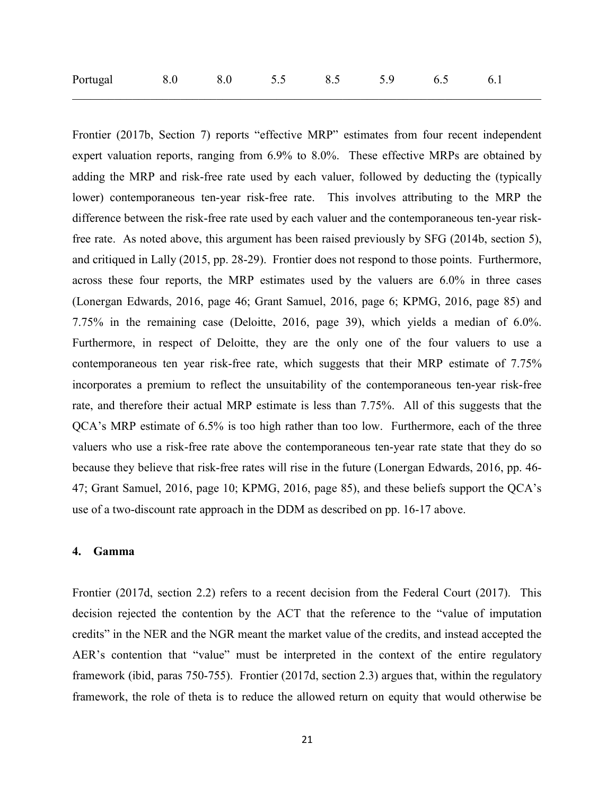| Portugal<br>5.5<br>8.0<br>8.5<br>6.1<br>6.5 |  |
|---------------------------------------------|--|
|---------------------------------------------|--|

Frontier (2017b, Section 7) reports "effective MRP" estimates from four recent independent expert valuation reports, ranging from 6.9% to 8.0%. These effective MRPs are obtained by adding the MRP and risk-free rate used by each valuer, followed by deducting the (typically lower) contemporaneous ten-year risk-free rate. This involves attributing to the MRP the difference between the risk-free rate used by each valuer and the contemporaneous ten-year riskfree rate. As noted above, this argument has been raised previously by SFG (2014b, section 5), and critiqued in Lally (2015, pp. 28-29). Frontier does not respond to those points. Furthermore, across these four reports, the MRP estimates used by the valuers are 6.0% in three cases (Lonergan Edwards, 2016, page 46; Grant Samuel, 2016, page 6; KPMG, 2016, page 85) and 7.75% in the remaining case (Deloitte, 2016, page 39), which yields a median of 6.0%. Furthermore, in respect of Deloitte, they are the only one of the four valuers to use a contemporaneous ten year risk-free rate, which suggests that their MRP estimate of 7.75% incorporates a premium to reflect the unsuitability of the contemporaneous ten-year risk-free rate, and therefore their actual MRP estimate is less than 7.75%. All of this suggests that the QCA's MRP estimate of 6.5% is too high rather than too low. Furthermore, each of the three valuers who use a risk-free rate above the contemporaneous ten-year rate state that they do so because they believe that risk-free rates will rise in the future (Lonergan Edwards, 2016, pp. 46- 47; Grant Samuel, 2016, page 10; KPMG, 2016, page 85), and these beliefs support the QCA's use of a two-discount rate approach in the DDM as described on pp. 16-17 above.

#### 4. Gamma

Frontier (2017d, section 2.2) refers to a recent decision from the Federal Court (2017). This decision rejected the contention by the ACT that the reference to the "value of imputation credits" in the NER and the NGR meant the market value of the credits, and instead accepted the AER's contention that "value" must be interpreted in the context of the entire regulatory framework (ibid, paras 750-755). Frontier (2017d, section 2.3) argues that, within the regulatory framework, the role of theta is to reduce the allowed return on equity that would otherwise be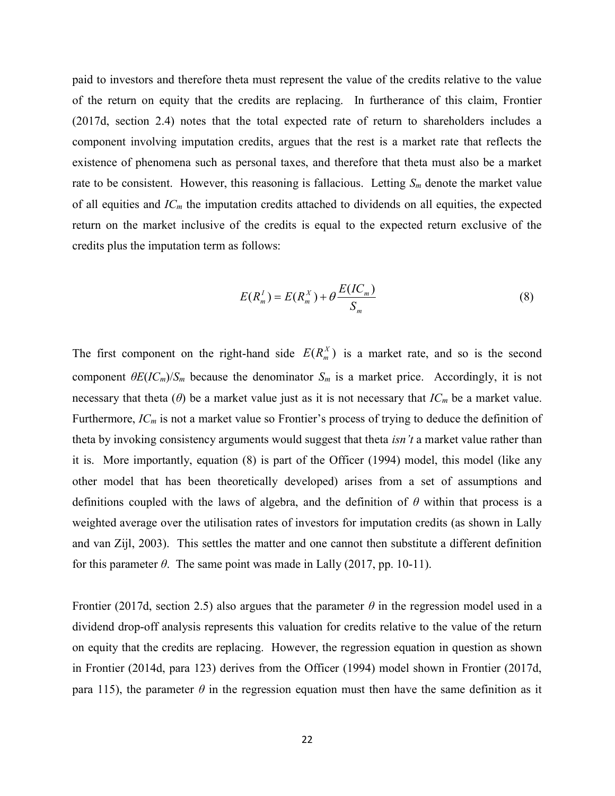paid to investors and therefore theta must represent the value of the credits relative to the value of the return on equity that the credits are replacing. In furtherance of this claim, Frontier (2017d, section 2.4) notes that the total expected rate of return to shareholders includes a component involving imputation credits, argues that the rest is a market rate that reflects the existence of phenomena such as personal taxes, and therefore that theta must also be a market rate to be consistent. However, this reasoning is fallacious. Letting  $S_m$  denote the market value of all equities and  $IC<sub>m</sub>$  the imputation credits attached to dividends on all equities, the expected return on the market inclusive of the credits is equal to the expected return exclusive of the credits plus the imputation term as follows:

$$
E(R_m^I) = E(R_m^X) + \theta \frac{E(IC_m)}{S_m}
$$
\n<sup>(8)</sup>

The first component on the right-hand side  $E(R_m^X)$  is a market rate, and so is the second component  $\theta E (IC_m)/S_m$  because the denominator  $S_m$  is a market price. Accordingly, it is not necessary that theta ( $\theta$ ) be a market value just as it is not necessary that  $IC_m$  be a market value. Furthermore,  $IC_m$  is not a market value so Frontier's process of trying to deduce the definition of theta by invoking consistency arguments would suggest that theta *isn't* a market value rather than it is. More importantly, equation (8) is part of the Officer (1994) model, this model (like any other model that has been theoretically developed) arises from a set of assumptions and definitions coupled with the laws of algebra, and the definition of  $\theta$  within that process is a weighted average over the utilisation rates of investors for imputation credits (as shown in Lally and van Zijl, 2003). This settles the matter and one cannot then substitute a different definition for this parameter  $\theta$ . The same point was made in Lally (2017, pp. 10-11).

Frontier (2017d, section 2.5) also argues that the parameter  $\theta$  in the regression model used in a dividend drop-off analysis represents this valuation for credits relative to the value of the return on equity that the credits are replacing. However, the regression equation in question as shown in Frontier (2014d, para 123) derives from the Officer (1994) model shown in Frontier (2017d, para 115), the parameter  $\theta$  in the regression equation must then have the same definition as it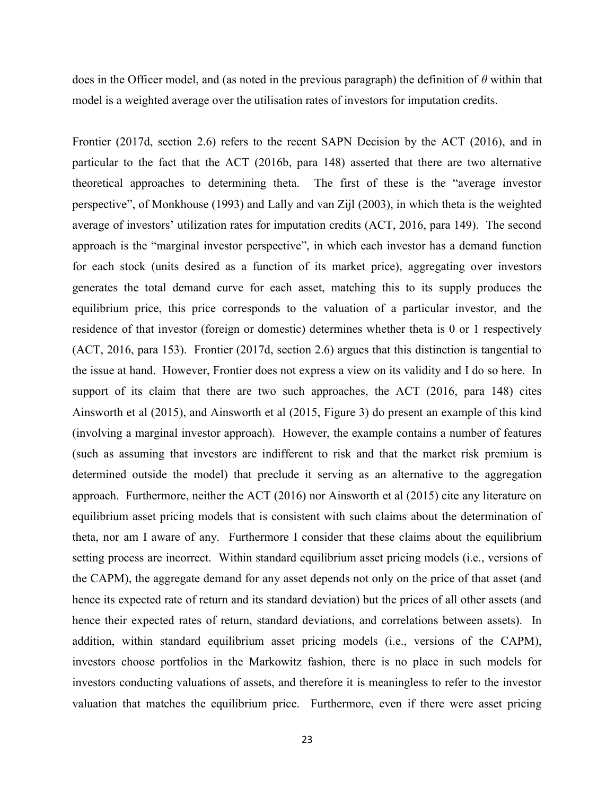does in the Officer model, and (as noted in the previous paragraph) the definition of  $\theta$  within that model is a weighted average over the utilisation rates of investors for imputation credits.

Frontier (2017d, section 2.6) refers to the recent SAPN Decision by the ACT (2016), and in particular to the fact that the ACT (2016b, para 148) asserted that there are two alternative theoretical approaches to determining theta. The first of these is the "average investor perspective", of Monkhouse (1993) and Lally and van Zijl (2003), in which theta is the weighted average of investors' utilization rates for imputation credits (ACT, 2016, para 149). The second approach is the "marginal investor perspective", in which each investor has a demand function for each stock (units desired as a function of its market price), aggregating over investors generates the total demand curve for each asset, matching this to its supply produces the equilibrium price, this price corresponds to the valuation of a particular investor, and the residence of that investor (foreign or domestic) determines whether theta is 0 or 1 respectively (ACT, 2016, para 153). Frontier (2017d, section 2.6) argues that this distinction is tangential to the issue at hand. However, Frontier does not express a view on its validity and I do so here. In support of its claim that there are two such approaches, the ACT (2016, para 148) cites Ainsworth et al (2015), and Ainsworth et al (2015, Figure 3) do present an example of this kind (involving a marginal investor approach). However, the example contains a number of features (such as assuming that investors are indifferent to risk and that the market risk premium is determined outside the model) that preclude it serving as an alternative to the aggregation approach. Furthermore, neither the ACT (2016) nor Ainsworth et al (2015) cite any literature on equilibrium asset pricing models that is consistent with such claims about the determination of theta, nor am I aware of any. Furthermore I consider that these claims about the equilibrium setting process are incorrect. Within standard equilibrium asset pricing models (i.e., versions of the CAPM), the aggregate demand for any asset depends not only on the price of that asset (and hence its expected rate of return and its standard deviation) but the prices of all other assets (and hence their expected rates of return, standard deviations, and correlations between assets). In addition, within standard equilibrium asset pricing models (i.e., versions of the CAPM), investors choose portfolios in the Markowitz fashion, there is no place in such models for investors conducting valuations of assets, and therefore it is meaningless to refer to the investor valuation that matches the equilibrium price. Furthermore, even if there were asset pricing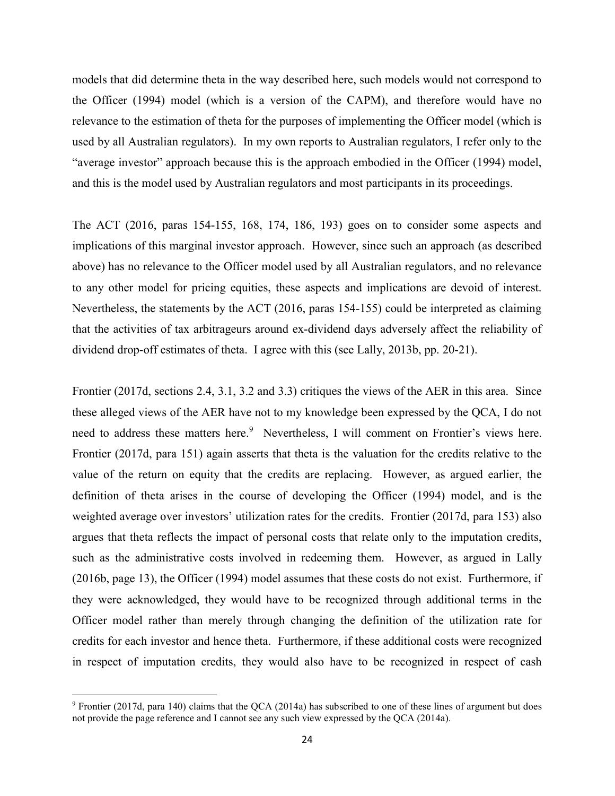models that did determine theta in the way described here, such models would not correspond to the Officer (1994) model (which is a version of the CAPM), and therefore would have no relevance to the estimation of theta for the purposes of implementing the Officer model (which is used by all Australian regulators). In my own reports to Australian regulators, I refer only to the "average investor" approach because this is the approach embodied in the Officer (1994) model, and this is the model used by Australian regulators and most participants in its proceedings.

The ACT (2016, paras 154-155, 168, 174, 186, 193) goes on to consider some aspects and implications of this marginal investor approach. However, since such an approach (as described above) has no relevance to the Officer model used by all Australian regulators, and no relevance to any other model for pricing equities, these aspects and implications are devoid of interest. Nevertheless, the statements by the ACT (2016, paras 154-155) could be interpreted as claiming that the activities of tax arbitrageurs around ex-dividend days adversely affect the reliability of dividend drop-off estimates of theta. I agree with this (see Lally, 2013b, pp. 20-21).

Frontier (2017d, sections 2.4, 3.1, 3.2 and 3.3) critiques the views of the AER in this area. Since these alleged views of the AER have not to my knowledge been expressed by the QCA, I do not need to address these matters here.<sup>9</sup> Nevertheless, I will comment on Frontier's views here. Frontier (2017d, para 151) again asserts that theta is the valuation for the credits relative to the value of the return on equity that the credits are replacing. However, as argued earlier, the definition of theta arises in the course of developing the Officer (1994) model, and is the weighted average over investors' utilization rates for the credits. Frontier (2017d, para 153) also argues that theta reflects the impact of personal costs that relate only to the imputation credits, such as the administrative costs involved in redeeming them. However, as argued in Lally (2016b, page 13), the Officer (1994) model assumes that these costs do not exist. Furthermore, if they were acknowledged, they would have to be recognized through additional terms in the Officer model rather than merely through changing the definition of the utilization rate for credits for each investor and hence theta. Furthermore, if these additional costs were recognized in respect of imputation credits, they would also have to be recognized in respect of cash

 $\overline{a}$ 

 $9$  Frontier (2017d, para 140) claims that the QCA (2014a) has subscribed to one of these lines of argument but does not provide the page reference and I cannot see any such view expressed by the QCA (2014a).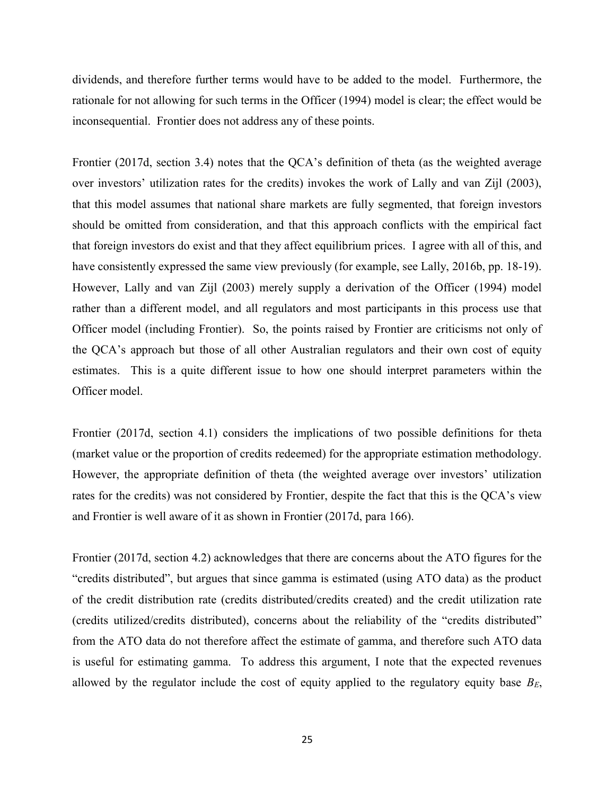dividends, and therefore further terms would have to be added to the model. Furthermore, the rationale for not allowing for such terms in the Officer (1994) model is clear; the effect would be inconsequential. Frontier does not address any of these points.

Frontier (2017d, section 3.4) notes that the QCA's definition of theta (as the weighted average over investors' utilization rates for the credits) invokes the work of Lally and van Zijl (2003), that this model assumes that national share markets are fully segmented, that foreign investors should be omitted from consideration, and that this approach conflicts with the empirical fact that foreign investors do exist and that they affect equilibrium prices. I agree with all of this, and have consistently expressed the same view previously (for example, see Lally, 2016b, pp. 18-19). However, Lally and van Zijl (2003) merely supply a derivation of the Officer (1994) model rather than a different model, and all regulators and most participants in this process use that Officer model (including Frontier). So, the points raised by Frontier are criticisms not only of the QCA's approach but those of all other Australian regulators and their own cost of equity estimates. This is a quite different issue to how one should interpret parameters within the Officer model.

Frontier (2017d, section 4.1) considers the implications of two possible definitions for theta (market value or the proportion of credits redeemed) for the appropriate estimation methodology. However, the appropriate definition of theta (the weighted average over investors' utilization rates for the credits) was not considered by Frontier, despite the fact that this is the QCA's view and Frontier is well aware of it as shown in Frontier (2017d, para 166).

Frontier (2017d, section 4.2) acknowledges that there are concerns about the ATO figures for the "credits distributed", but argues that since gamma is estimated (using ATO data) as the product of the credit distribution rate (credits distributed/credits created) and the credit utilization rate (credits utilized/credits distributed), concerns about the reliability of the "credits distributed" from the ATO data do not therefore affect the estimate of gamma, and therefore such ATO data is useful for estimating gamma. To address this argument, I note that the expected revenues allowed by the regulator include the cost of equity applied to the regulatory equity base  $B_E$ ,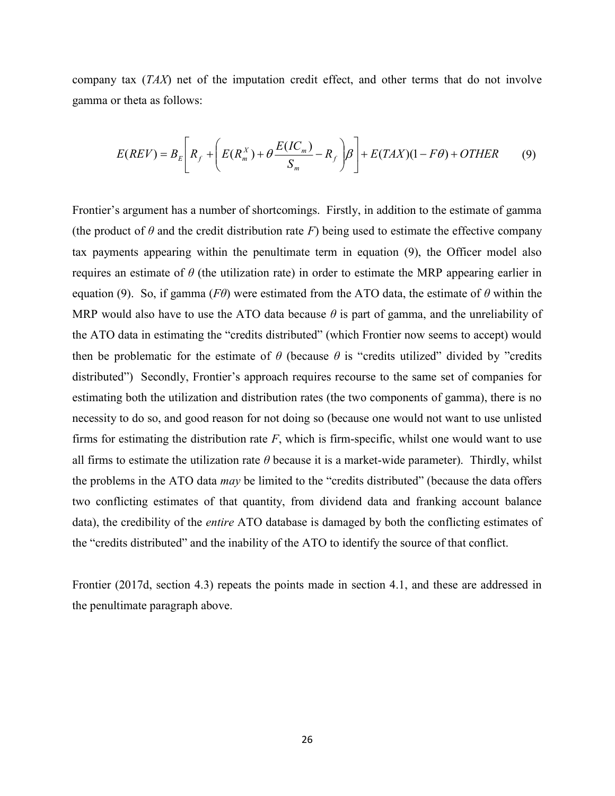company tax (TAX) net of the imputation credit effect, and other terms that do not involve gamma or theta as follows:

$$
E(REV) = B_E \left[ R_f + \left( E(R_m^X) + \theta \frac{E(IC_m)}{S_m} - R_f \right) \beta \right] + E(TAX)(1 - F\theta) + OTHER \tag{9}
$$

Frontier's argument has a number of shortcomings. Firstly, in addition to the estimate of gamma (the product of  $\theta$  and the credit distribution rate F) being used to estimate the effective company tax payments appearing within the penultimate term in equation (9), the Officer model also requires an estimate of  $\theta$  (the utilization rate) in order to estimate the MRP appearing earlier in equation (9). So, if gamma (F $\theta$ ) were estimated from the ATO data, the estimate of  $\theta$  within the MRP would also have to use the ATO data because  $\theta$  is part of gamma, and the unreliability of the ATO data in estimating the "credits distributed" (which Frontier now seems to accept) would then be problematic for the estimate of  $\theta$  (because  $\theta$  is "credits utilized" divided by "credits distributed") Secondly, Frontier's approach requires recourse to the same set of companies for estimating both the utilization and distribution rates (the two components of gamma), there is no necessity to do so, and good reason for not doing so (because one would not want to use unlisted firms for estimating the distribution rate  $F$ , which is firm-specific, whilst one would want to use all firms to estimate the utilization rate  $\theta$  because it is a market-wide parameter). Thirdly, whilst the problems in the ATO data may be limited to the "credits distributed" (because the data offers two conflicting estimates of that quantity, from dividend data and franking account balance data), the credibility of the entire ATO database is damaged by both the conflicting estimates of the "credits distributed" and the inability of the ATO to identify the source of that conflict.

Frontier (2017d, section 4.3) repeats the points made in section 4.1, and these are addressed in the penultimate paragraph above.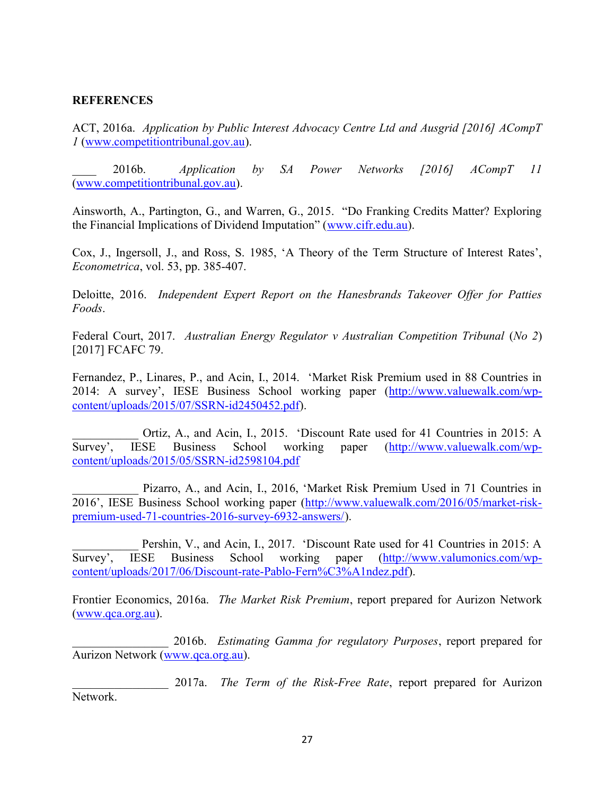## **REFERENCES**

ACT, 2016a. Application by Public Interest Advocacy Centre Ltd and Ausgrid [2016] ACompT 1 (www.competitiontribunal.gov.au).

\_\_\_\_ 2016b. Application by SA Power Networks [2016] ACompT 11 (www.competitiontribunal.gov.au).

Ainsworth, A., Partington, G., and Warren, G., 2015. "Do Franking Credits Matter? Exploring the Financial Implications of Dividend Imputation" (www.cifr.edu.au).

Cox, J., Ingersoll, J., and Ross, S. 1985, 'A Theory of the Term Structure of Interest Rates', Econometrica, vol. 53, pp. 385-407.

Deloitte, 2016. Independent Expert Report on the Hanesbrands Takeover Offer for Patties Foods.

Federal Court, 2017. Australian Energy Regulator v Australian Competition Tribunal (No 2) [2017] FCAFC 79.

Fernandez, P., Linares, P., and Acin, I., 2014. 'Market Risk Premium used in 88 Countries in 2014: A survey', IESE Business School working paper (http://www.valuewalk.com/wpcontent/uploads/2015/07/SSRN-id2450452.pdf).

Ortiz, A., and Acin, I., 2015. 'Discount Rate used for 41 Countries in 2015: A Survey', IESE Business School working paper (http://www.valuewalk.com/wpcontent/uploads/2015/05/SSRN-id2598104.pdf

Pizarro, A., and Acin, I., 2016, 'Market Risk Premium Used in 71 Countries in 2016', IESE Business School working paper (http://www.valuewalk.com/2016/05/market-riskpremium-used-71-countries-2016-survey-6932-answers/).

Pershin, V., and Acin, I., 2017. 'Discount Rate used for 41 Countries in 2015: A Survey', IESE Business School working paper (http://www.valumonics.com/wpcontent/uploads/2017/06/Discount-rate-Pablo-Fern%C3%A1ndez.pdf).

Frontier Economics, 2016a. The Market Risk Premium, report prepared for Aurizon Network (www.qca.org.au).

2016b. Estimating Gamma for regulatory Purposes, report prepared for Aurizon Network (www.qca.org.au).

2017a. The Term of the Risk-Free Rate, report prepared for Aurizon Network.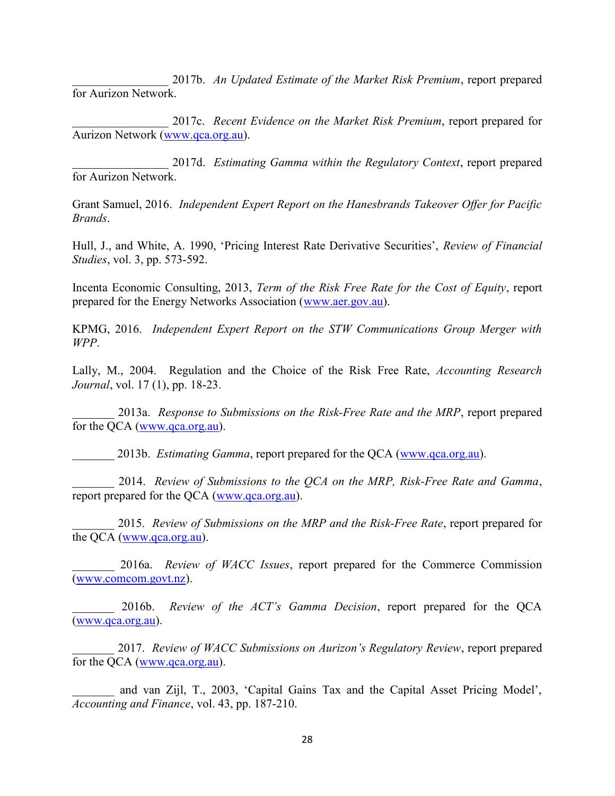2017b. An Updated Estimate of the Market Risk Premium, report prepared for Aurizon Network.

2017c. Recent Evidence on the Market Risk Premium, report prepared for Aurizon Network (www.qca.org.au).

2017d. Estimating Gamma within the Regulatory Context, report prepared for Aurizon Network.

Grant Samuel, 2016. Independent Expert Report on the Hanesbrands Takeover Offer for Pacific Brands.

Hull, J., and White, A. 1990, 'Pricing Interest Rate Derivative Securities', Review of Financial Studies, vol. 3, pp. 573-592.

Incenta Economic Consulting, 2013, Term of the Risk Free Rate for the Cost of Equity, report prepared for the Energy Networks Association (www.aer.gov.au).

KPMG, 2016. Independent Expert Report on the STW Communications Group Merger with WPP.

Lally, M., 2004. Regulation and the Choice of the Risk Free Rate, Accounting Research Journal, vol. 17 (1), pp. 18-23.

2013a. Response to Submissions on the Risk-Free Rate and the MRP, report prepared for the QCA (www.qca.org.au).

2013b. *Estimating Gamma*, report prepared for the OCA (www.qca.org.au).

\_\_\_\_\_\_\_ 2014. Review of Submissions to the QCA on the MRP, Risk-Free Rate and Gamma, report prepared for the QCA (www.qca.org.au).

2015. Review of Submissions on the MRP and the Risk-Free Rate, report prepared for the QCA (www.qca.org.au).

2016a. Review of WACC Issues, report prepared for the Commerce Commission (www.comcom.govt.nz).

2016b. Review of the ACT's Gamma Decision, report prepared for the QCA (www.qca.org.au).

2017. Review of WACC Submissions on Aurizon's Regulatory Review, report prepared for the QCA (www.qca.org.au).

and van Zijl, T., 2003, 'Capital Gains Tax and the Capital Asset Pricing Model', Accounting and Finance, vol. 43, pp. 187-210.